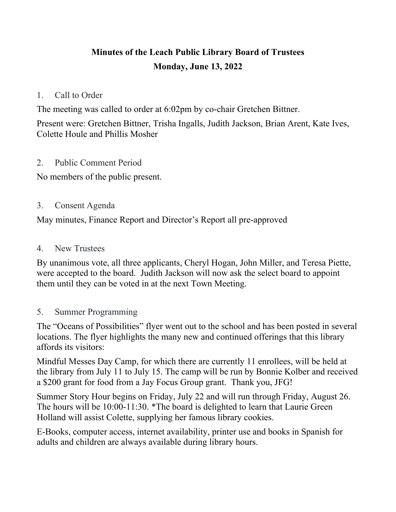# **Minutes of the Leach Public Library Board of Trustees Monday, June 13, 2022**

## 1. Call to Order

The meeting was called to order at 6:02pm by co-chair Gretchen Bittner.

Present were: Gretchen Bittner, Trisha Ingalls, Judith Jackson, Brian Arent, Kate Ives, Colette Houle and Phillis Mosher

#### 2. Public Comment Period

No members of the public present.

## 3. Consent Agenda

May minutes, Finance Report and Director's Report all pre-approved

#### 4. New Trustees

By unanimous vote, all three applicants, Cheryl Hogan, John Miller, and Teresa Piette, were accepted to the board. Judith Jackson will now ask the select board to appoint them until they can be voted in at the next Town Meeting.

## 5. Summer Programming

The "Oceans of Possibilities" flyer went out to the school and has been posted in several locations. The flyer highlights the many new and continued offerings that this library affords its visitors:

Mindful Messes Day Camp, for which there are currently 11 enrollees, will be held at the library from July 11 to July 15. The camp will be run by Bonnie Kolber and received a \$200 grant for food from a Jay Focus Group grant. Thank you, JFG!

Summer Story Hour begins on Friday, July 22 and will run through Friday, August 26. The hours will be 10:00-11:30. \*The board is delighted to learn that Laurie Green Holland will assist Colette, supplying her famous library cookies.

E-Books, computer access, internet availability, printer use and books in Spanish for adults and children are always available during library hours.